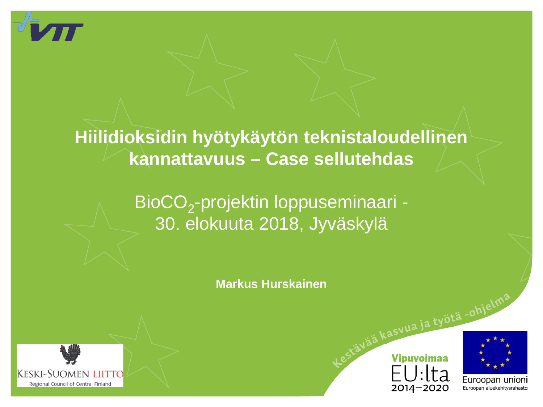

### **Hiilidioksidin hyötykäytön teknistaloudellinen kannattavuus – Case sellutehdas**

### BioCO<sub>2</sub>-projektin loppuseminaari -30. elokuuta 2018, Jyväskylä

**Markus Hurskainen**







ja työtä -ohje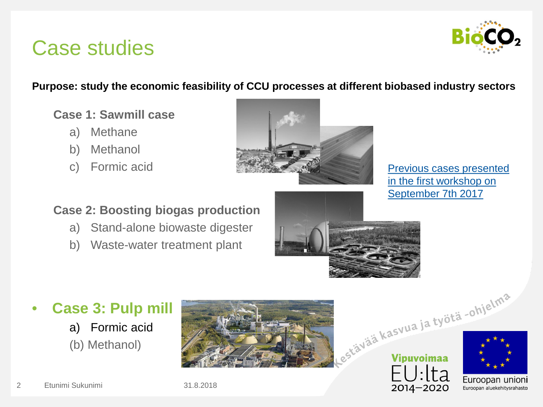# Case studies



#### **Purpose: study the economic feasibility of CCU processes at different biobased industry sectors**

#### **Case 1: Sawmill case**

- a) Methane
- b) Methanol
- c) Formic acid



[Previous cases](https://www.vtt.fi/sites/BioCO2/PublishingImages/workshop-7-9-2017/3_Hurskainen.pdf) presented in the first workshop on [September](https://www.vtt.fi/sites/BioCO2/PublishingImages/workshop-7-9-2017/3_Hurskainen.pdf) 7th 2017

#### **Case 2: Boosting biogas production**

- a) Stand-alone biowaste digester
- b) Waste-water treatment plant



#### • **Case 3: Pulp mill**

a) Formic acid (b) Methanol)





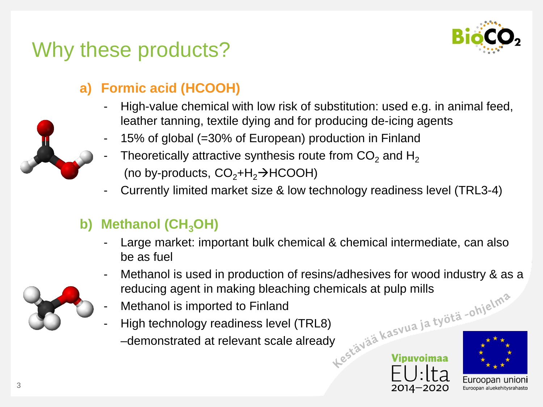

# Why these products?

#### **a) Formic acid (HCOOH)**

- High-value chemical with low risk of substitution: used e.g. in animal feed, leather tanning, textile dying and for producing de-icing agents
- 15% of global (=30% of European) production in Finland
- Theoretically attractive synthesis route from  $CO<sub>2</sub>$  and H<sub>2</sub> (no by-products,  $CO<sub>2</sub>+H<sub>2</sub> \rightarrow HCOOH$ )
- Currently limited market size & low technology readiness level (TRL3-4)

#### **b)** Methanol (CH<sub>3</sub>OH)

- Large market: important bulk chemical & chemical intermediate, can also be as fuel
- Methanol is used in production of resins/adhesives for wood industry & as a reducing agent in making bleaching chemicals at pulp mills<br>- Methanol is imported to Finland<br>- High technology readiness level (TRL8)<br>- demonstr reducing agent in making bleaching chemicals at pulp mills
- Methanol is imported to Finland
- High technology readiness level (TRL8) –demonstrated at relevant scale already







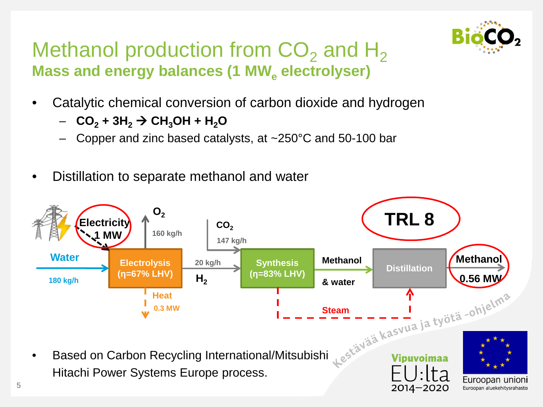

### Methanol production from  $CO<sub>2</sub>$  and H<sub>2</sub> **Mass and energy balances (1 MW<sub>e</sub> electrolyser)**

- Catalytic chemical conversion of carbon dioxide and hydrogen
	- $-$  **CO<sub>2</sub> + 3H<sub>2</sub>**  $\rightarrow$  **CH<sub>3</sub>OH + H<sub>2</sub>O**
	- Copper and zinc based catalysts, at ~250°C and 50-100 bar
- Distillation to separate methanol and water

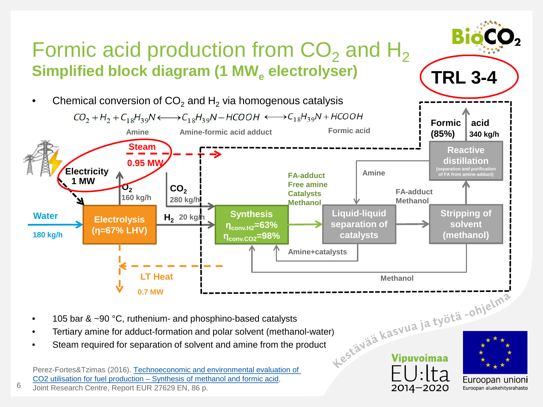

Steam required for separation of solvent and amine from the product

Perez-Fortes&Tzimas (2016). Technoeconomic and environmental evaluation of CO2 utilisation for fuel production – Synthesis of methanol and formic acid,

Joint Research Centre, Report EUR 27629 EN, 86 p.

6

2014-2020

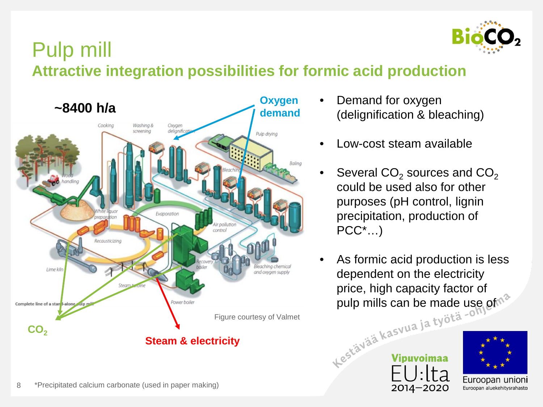

### Pulp mill **Attractive integration possibilities for formic acid production**



- Demand for oxygen (delignification & bleaching)
	- Low-cost steam available
- Several  $CO<sub>2</sub>$  sources and  $CO<sub>2</sub>$ could be used also for other purposes (pH control, lignin precipitation, production of PCC\*…)
- As formic acid production is less dependent on the electricity price, high capacity factor of<br>pulp mills can be made use<br>estava ia työtä -<sup>om</sup><br>estav<sup>iaja kasvua ja työtä -om</sup> pulp mills can be made use of  $\sim$



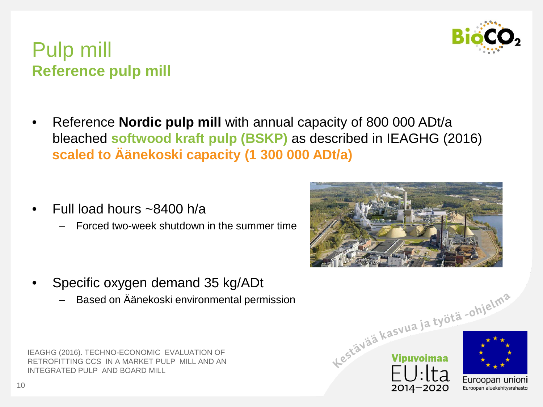

#### Pulp mill **Reference pulp mill**

- Reference **Nordic pulp mill** with annual capacity of 800 000 ADt/a bleached **softwood kraft pulp (BSKP)** as described in IEAGHG (2016) **scaled to Äänekoski capacity (1 300 000 ADt/a)**
- Full load hours ~8400 h/a
	- Forced two-week shutdown in the summer time

- Specific oxygen demand 35 kg/ADt
	- Based on Äänekoski environmental permission

IEAGHG (2016). TECHNO-ECONOMIC EVALUATION OF RETROFITTING CCS IN A MARKET PULP MILL AND AN INTEGRATED PULP AND BOARD MILL





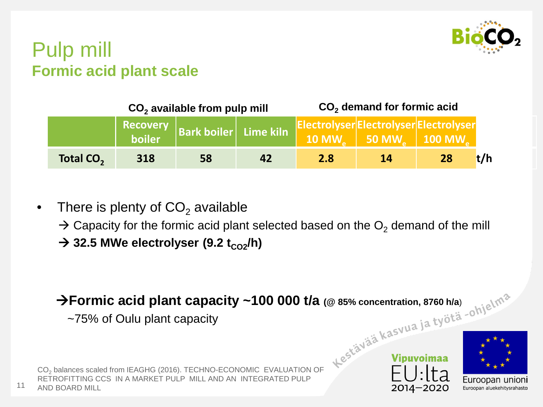

#### Pulp mill **Formic acid plant scale**

|                       | $CO2$ available from pulp mill |                                |    | CO <sub>2</sub> demand for formic acid |                                                                          |    |
|-----------------------|--------------------------------|--------------------------------|----|----------------------------------------|--------------------------------------------------------------------------|----|
|                       | boiler                         | Recovery Bark boiler Lime kiln |    | ElectrolyserElectrolyserElectrolyser   | $\mid$ 10 MW $_{\odot}\mid\,$ 50 MW $_{\odot}\mid\,$ 100 MW $_{\odot}\,$ |    |
| Total CO <sub>2</sub> | 318                            | 58                             | 42 | <b>2.8</b>                             | <b>14</b>                                                                | 28 |

- There is plenty of  $CO<sub>2</sub>$  available
	- $\rightarrow$  Capacity for the formic acid plant selected based on the O<sub>2</sub> demand of the mill
	- $\rightarrow$  32.5 MWe electrolyser (9.2 t<sub>CO2</sub>/h)

CO<sub>2</sub> balances scaled from IEAGHG (2016). TECHNO-ECONOMIC EVALUATION OF **Formic acid plant capacity ~100 000 t/a (@ 85% concentration, 8760 h/a**)

~75% of Oulu plant capacity

RETROFITTING CCS IN A MARKET PULP MILL AND AN INTEGRATED PULP 11 AND BOARD MILL

2014-2020

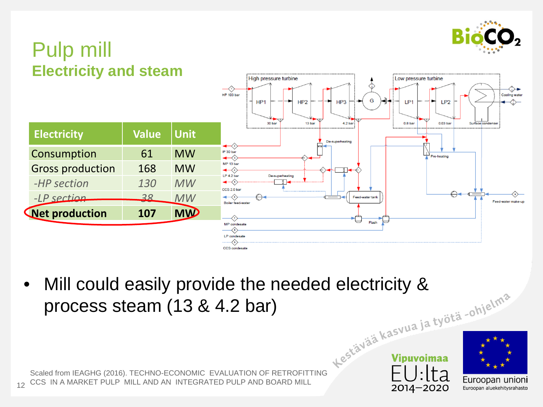

## Pulp mill **Electricity and steam**

| <b>LIGULIUM AND SIGAIN</b> |              |             | High pressure turbine<br>≺.<br><b>HP 103 bar</b><br>HP <sub>1</sub><br>HP <sub>2</sub><br>HP <sub>3</sub><br>13 bar<br>4.2 bar<br>30 bar | Low pressure turbine<br>ᡐ►<br>Cooling water<br>G<br>LP <sub>1</sub><br>LP2<br>➤<br>0.03 bar<br>0.8 <sub>bar</sub><br>Surface condenser |
|----------------------------|--------------|-------------|------------------------------------------------------------------------------------------------------------------------------------------|----------------------------------------------------------------------------------------------------------------------------------------|
| <b>Electricity</b>         | <b>Value</b> | <b>Unit</b> | De-superheating                                                                                                                          |                                                                                                                                        |
| Consumption                | 61           | <b>MW</b>   | $\leftrightarrow$<br>IP 30 bar<br>$\blacktriangleleft$                                                                                   | Pre-heating                                                                                                                            |
| <b>Gross production</b>    | 168          | <b>MW</b>   | MP 13 bar<br>$\leftrightarrow$<br>ा⊸<br>↔                                                                                                |                                                                                                                                        |
| -HP section                | 130          | MW          | LP 4.2 bar<br>De-superheating<br>$\leftarrow$ $\left\langle \cdot \right\rangle$<br>CCS 2.0 bar                                          |                                                                                                                                        |
| $-LP$ section              | 28           | <b>MW</b>   | $\leftrightarrow$<br>Feed-water tank<br>Boiler feed-water                                                                                | $\Theta$ -<br>Feed-water make-up                                                                                                       |
| <b>Net production</b>      | 107          | <b>MW</b>   | $\langle \tau \rangle$                                                                                                                   |                                                                                                                                        |
|                            |              |             | ᆖ<br>MP condesate<br>$\left\langle \cdot \right\rangle$<br>LP condesate<br>CCS condesate                                                 | Flash                                                                                                                                  |

Scaled from IEAGHG (2016). TECHNO-ECONOMIC EVALUATION OF RETROFITTING • Mill could easily provide the needed electricity & process steam (13 & 4.2 bar)

12 CCS IN A MARKET PULP MILL AND AN INTEGRATED PULP AND BOARD MILL



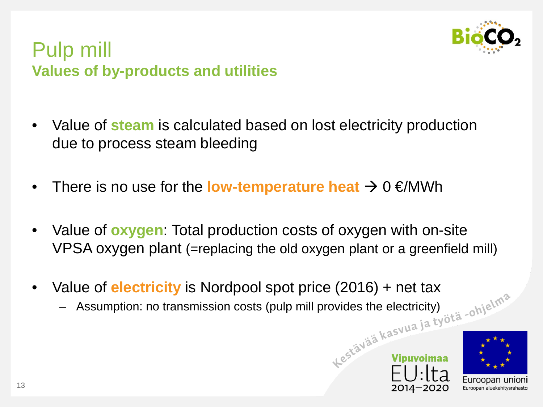

#### Pulp mill **Values of by-products and utilities**

- Value of **steam** is calculated based on lost electricity production due to process steam bleeding
- There is no use for the **low-temperature heat**  $\rightarrow 0 \in \mathbb{M}$  Wh
- Value of **oxygen**: Total production costs of oxygen with on-site VPSA oxygen plant (=replacing the old oxygen plant or a greenfield mill)
- Value of **electricity** is Nordpool spot price (2016) + net tax<br>- Assumption: no transmission costs (pulp mill provides the electricity)<br>- Assumption: no transmission costs (pulp mill provides the electricity)
	- Assumption: no transmission costs (pulp mill provides the electricity)



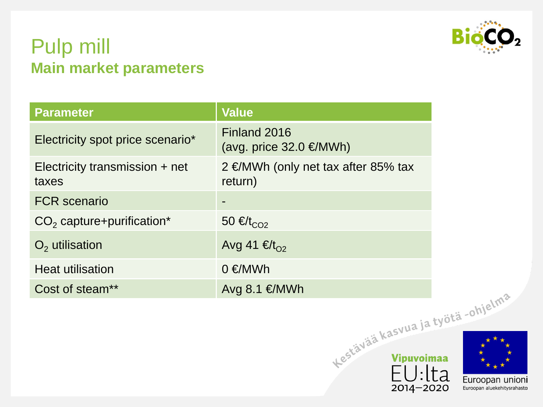

#### Pulp mill **Main market parameters**

| <b>Parameter</b>                          | <b>Value</b>                                   |       |
|-------------------------------------------|------------------------------------------------|-------|
| Electricity spot price scenario*          | Finland 2016<br>(avg. price $32.0 \in$ MWh)    |       |
| Electricity transmission $+$ net<br>taxes | 2 €/MWh (only net tax after 85% tax<br>return) |       |
| <b>FCR</b> scenario                       |                                                |       |
| $CO2$ capture+purification*               | 50 € $t_{CO2}$                                 |       |
| $O2$ utilisation                          | Avg 41 €/ $t_{O2}$                             |       |
| <b>Heat utilisation</b>                   | $0 \in$ /MWh                                   |       |
| Cost of steam**                           | Avg $8.1 \in$ MWh                              |       |
|                                           |                                                |       |
|                                           | Lestävää kasvua ja työtä -ohjelma              | lta - |



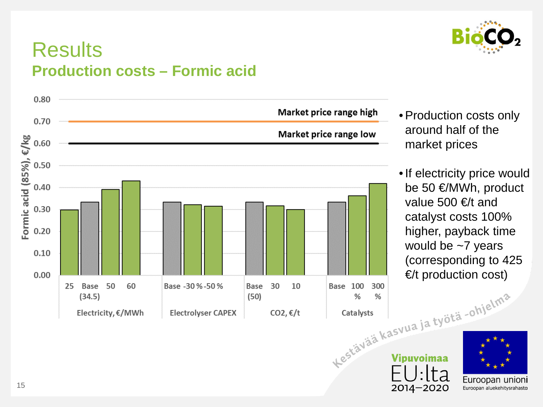

### **Results Production costs – Formic acid**



- Production costs only around half of the market prices
- •If electricity price would be 50 €/MWh, product value 500  $\epsilon$ /t and catalyst costs 100% higher, payback time would be ~7 years (corresponding to 425

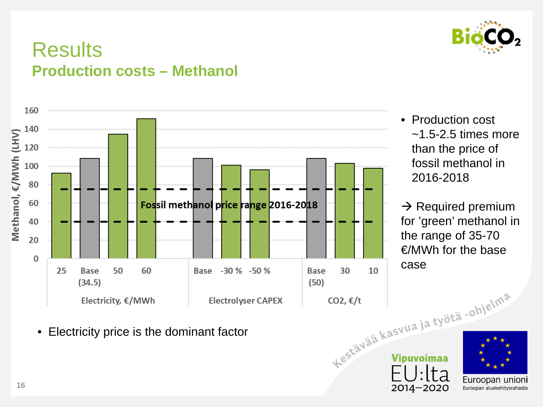

### **Results Production costs – Methanol**



• Production cost  $\sim$ 1.5-2.5 times more than the price of fossil methanol in 2016-2018

 $\rightarrow$  Required premium for 'green' methanol in the range of 35-70 €/MWh for the base case

 $2014 - 2020$ 

Euroopan unioni

Euroopan aluekehitysrahasto

• Electricity price is the dominant factor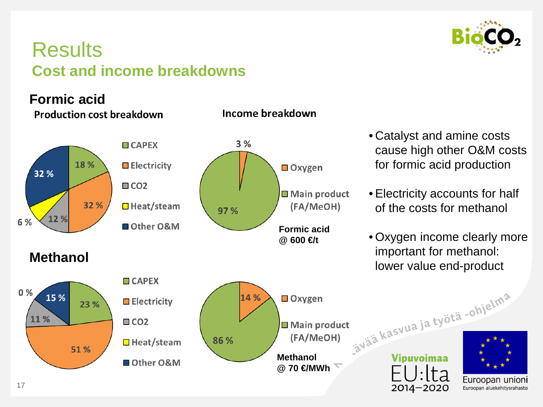

### **Results Cost and income breakdowns**

#### **Formic acid**

17

**Production cost breakdown** 



#### Income breakdown

- Catalyst and amine costs cause high other O&M costs for formic acid production
- Electricity accounts for half of the costs for methanol
- Oxygen income clearly more important for methanol: lower value end-product

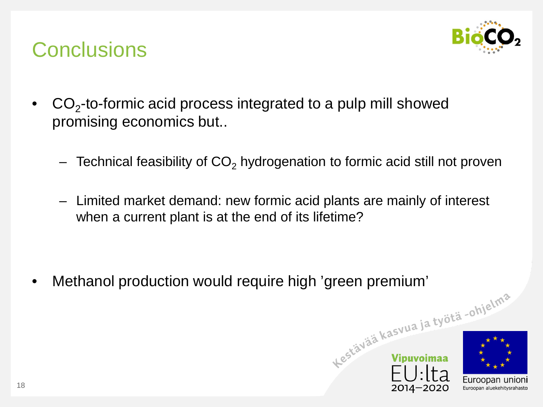

# **Conclusions**

- $CO<sub>2</sub>$ -to-formic acid process integrated to a pulp mill showed promising economics but..
	- $-$  Technical feasibility of  $CO<sub>2</sub>$  hydrogenation to formic acid still not proven
	- Limited market demand: new formic acid plants are mainly of interest when a current plant is at the end of its lifetime?

• Methanol production would require high 'green premium'<br>
shielmed and the solution of the state of the solution of the solution of the state of the state of the state of the state of the state of the state of the state o



18